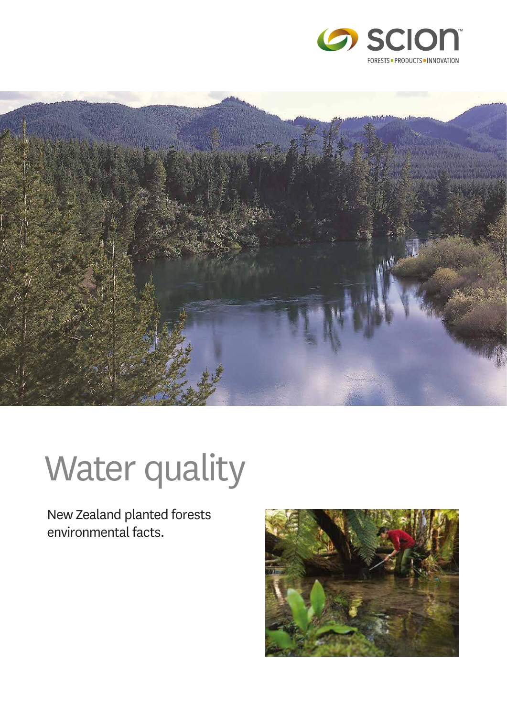



# Water quality

New Zealand planted forests environmental facts.

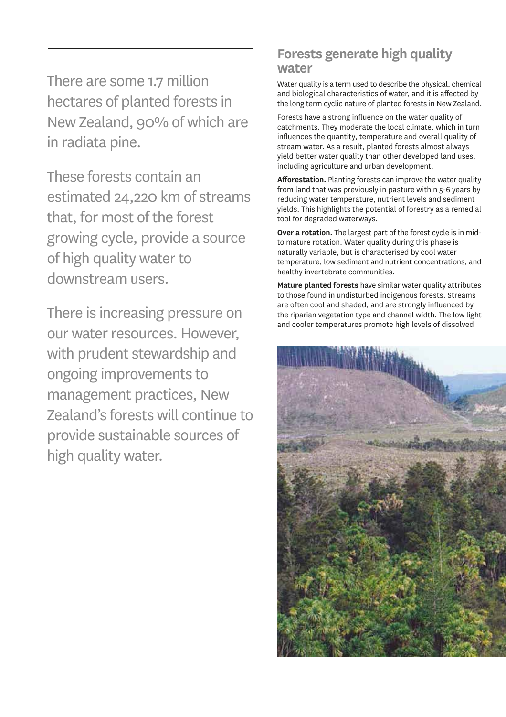There are some 1.7 million hectares of planted forests in New Zealand, 90% of which are in radiata pine.

These forests contain an estimated 24,220 km of streams that, for most of the forest growing cycle, provide a source of high quality water to downstream users.

There is increasing pressure on our water resources. However, with prudent stewardship and ongoing improvements to management practices, New Zealand's forests will continue to provide sustainable sources of high quality water.

#### **Forests generate high quality water**

Water quality is a term used to describe the physical, chemical and biological characteristics of water, and it is affected by the long term cyclic nature of planted forests in New Zealand.

Forests have a strong influence on the water quality of catchments. They moderate the local climate, which in turn influences the quantity, temperature and overall quality of stream water. As a result, planted forests almost always yield better water quality than other developed land uses, including agriculture and urban development.

**Afforestation.** Planting forests can improve the water quality from land that was previously in pasture within 5-6 years by reducing water temperature, nutrient levels and sediment yields. This highlights the potential of forestry as a remedial tool for degraded waterways.

**Over a rotation.** The largest part of the forest cycle is in midto mature rotation. Water quality during this phase is naturally variable, but is characterised by cool water temperature, low sediment and nutrient concentrations, and healthy invertebrate communities.

**Mature planted forests** have similar water quality attributes to those found in undisturbed indigenous forests. Streams are often cool and shaded, and are strongly influenced by the riparian vegetation type and channel width. The low light and cooler temperatures promote high levels of dissolved

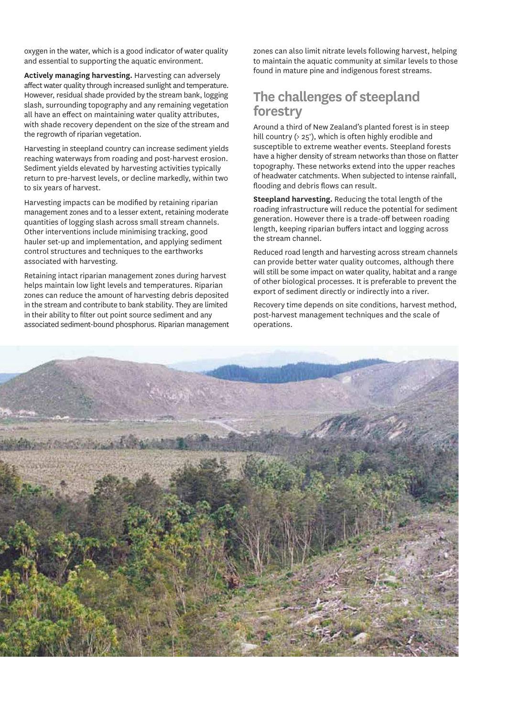oxygen in the water, which is a good indicator of water quality and essential to supporting the aquatic environment.

**Actively managing harvesting.** Harvesting can adversely affect water quality through increased sunlight and temperature. However, residual shade provided by the stream bank, logging slash, surrounding topography and any remaining vegetation all have an effect on maintaining water quality attributes, with shade recovery dependent on the size of the stream and the regrowth of riparian vegetation.

Harvesting in steepland country can increase sediment yields reaching waterways from roading and post-harvest erosion. Sediment yields elevated by harvesting activities typically return to pre-harvest levels, or decline markedly, within two to six years of harvest.

Harvesting impacts can be modified by retaining riparian management zones and to a lesser extent, retaining moderate quantities of logging slash across small stream channels. Other interventions include minimising tracking, good hauler set-up and implementation, and applying sediment control structures and techniques to the earthworks associated with harvesting.

Retaining intact riparian management zones during harvest helps maintain low light levels and temperatures. Riparian zones can reduce the amount of harvesting debris deposited in the stream and contribute to bank stability. They are limited in their ability to filter out point source sediment and any associated sediment-bound phosphorus. Riparian management zones can also limit nitrate levels following harvest, helping to maintain the aquatic community at similar levels to those found in mature pine and indigenous forest streams.

#### **The challenges of steepland forestry**

Around a third of New Zealand's planted forest is in steep hill country  $(>25^\circ)$ , which is often highly erodible and susceptible to extreme weather events. Steepland forests have a higher density of stream networks than those on flatter topography. These networks extend into the upper reaches of headwater catchments. When subjected to intense rainfall, flooding and debris flows can result.

**Steepland harvesting.** Reducing the total length of the roading infrastructure will reduce the potential for sediment generation. However there is a trade-off between roading length, keeping riparian buffers intact and logging across the stream channel.

Reduced road length and harvesting across stream channels can provide better water quality outcomes, although there will still be some impact on water quality, habitat and a range of other biological processes. It is preferable to prevent the export of sediment directly or indirectly into a river.

Recovery time depends on site conditions, harvest method, post-harvest management techniques and the scale of operations.